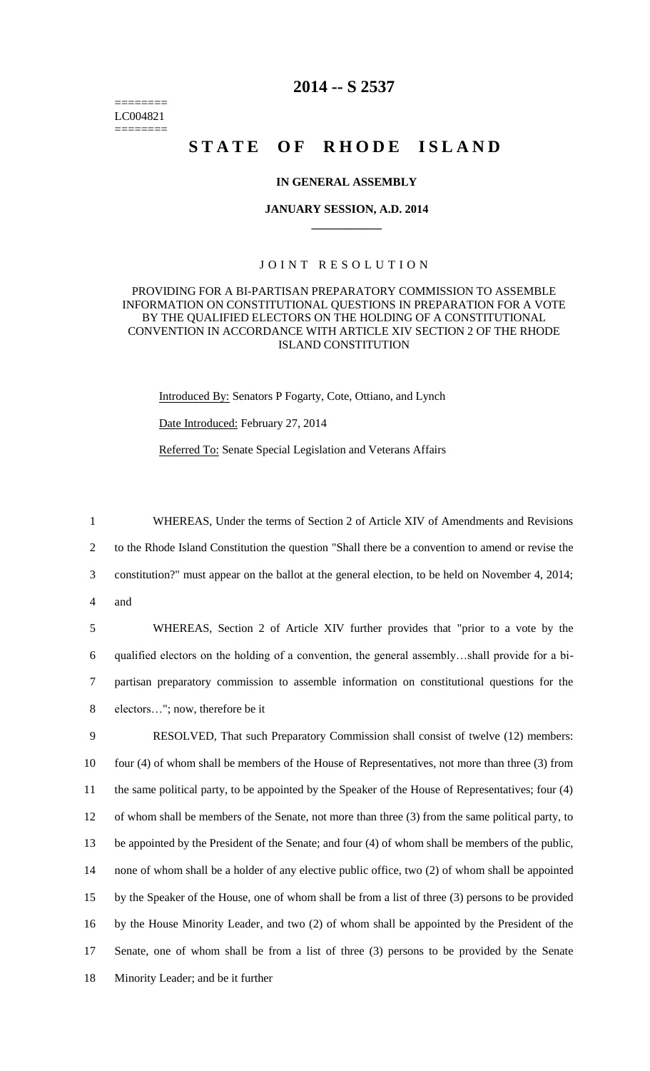======== LC004821 ========

# **2014 -- S 2537**

# STATE OF RHODE ISLAND

## **IN GENERAL ASSEMBLY**

#### **JANUARY SESSION, A.D. 2014 \_\_\_\_\_\_\_\_\_\_\_\_**

# JOINT RESOLUTION

## PROVIDING FOR A BI-PARTISAN PREPARATORY COMMISSION TO ASSEMBLE INFORMATION ON CONSTITUTIONAL QUESTIONS IN PREPARATION FOR A VOTE BY THE QUALIFIED ELECTORS ON THE HOLDING OF A CONSTITUTIONAL CONVENTION IN ACCORDANCE WITH ARTICLE XIV SECTION 2 OF THE RHODE ISLAND CONSTITUTION

Introduced By: Senators P Fogarty, Cote, Ottiano, and Lynch Date Introduced: February 27, 2014 Referred To: Senate Special Legislation and Veterans Affairs

 WHEREAS, Under the terms of Section 2 of Article XIV of Amendments and Revisions to the Rhode Island Constitution the question "Shall there be a convention to amend or revise the constitution?" must appear on the ballot at the general election, to be held on November 4, 2014; 4 and

 WHEREAS, Section 2 of Article XIV further provides that "prior to a vote by the qualified electors on the holding of a convention, the general assembly…shall provide for a bi- partisan preparatory commission to assemble information on constitutional questions for the electors…"; now, therefore be it

 RESOLVED, That such Preparatory Commission shall consist of twelve (12) members: four (4) of whom shall be members of the House of Representatives, not more than three (3) from the same political party, to be appointed by the Speaker of the House of Representatives; four (4) of whom shall be members of the Senate, not more than three (3) from the same political party, to be appointed by the President of the Senate; and four (4) of whom shall be members of the public, none of whom shall be a holder of any elective public office, two (2) of whom shall be appointed by the Speaker of the House, one of whom shall be from a list of three (3) persons to be provided by the House Minority Leader, and two (2) of whom shall be appointed by the President of the Senate, one of whom shall be from a list of three (3) persons to be provided by the Senate Minority Leader; and be it further